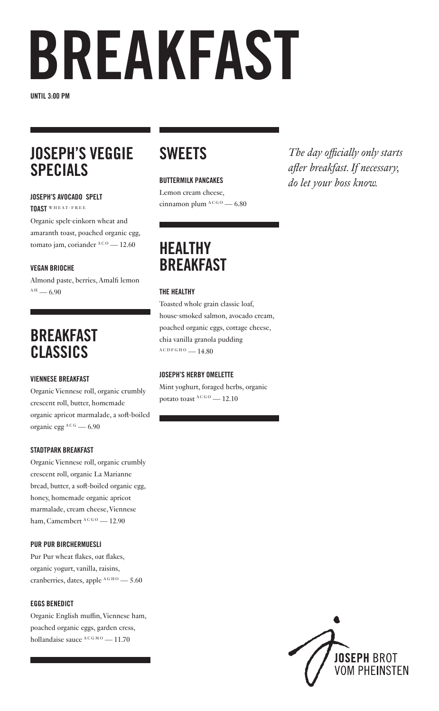## BREAKFAST

UNTIL 3:00 PM

## JOSEPH'S VEGGIE SPECIALS

#### JOSEPH'S AVOCADO SPELT

TOAST WHEAT-FREE

Organic spelt-einkorn wheat and amaranth toast, poached organic egg, tomato jam, coriander  $ACO = 12.60$ 

### VEGAN BRIOCHE

Almond paste, berries, Amalfi lemon  $A H = 6.90$ 

## BREAKFAST CLASSICS

#### VIENNESE BREAKFAST

Organic Viennese roll, organic crumbly crescent roll, butter, homemade organic apricot marmalade, a soft-boiled organic egg  $A$ <sup>C G</sup> — 6.90

#### STADTPARK BREAKFAST

Organic Viennese roll, organic crumbly crescent roll, organic La Marianne bread, butter, a soft-boiled organic egg, honey, homemade organic apricot marmalade, cream cheese, Viennese ham, Camembert  $ACGO = 12.90$ 

#### PUR PUR BIRCHERMUESLI

Pur Pur wheat flakes, oat flakes, organic yogurt, vanilla, raisins, cranberries, dates, apple  $A$ G H O  $-$  5.60

#### EGGS BENEDICT

Organic English muffin, Viennese ham, poached organic eggs, garden cress, hollandaise sauce  $A C G MO$  — 11.70

## **SWEETS**

#### BUTTERMILK PANCAKES

Lemon cream cheese, cinnamon plum  $A_{C_6O}$  — 6.80

## **HEALTHY BRFAKFAST**

#### THE HEALTHY

Toasted whole grain classic loaf, house-smoked salmon, avocado cream, poached organic eggs, cottage cheese, chia vanilla granola pudding  $A C D F G H O = 14.80$ 

#### JOSEPH'S HERBY OMELETTE

Mint yoghurt, foraged herbs, organic potato toast  $A$ <sup>CGO</sup> - 12.10

*The day officially only starts after breakfast. If necessary, do let your boss know.*

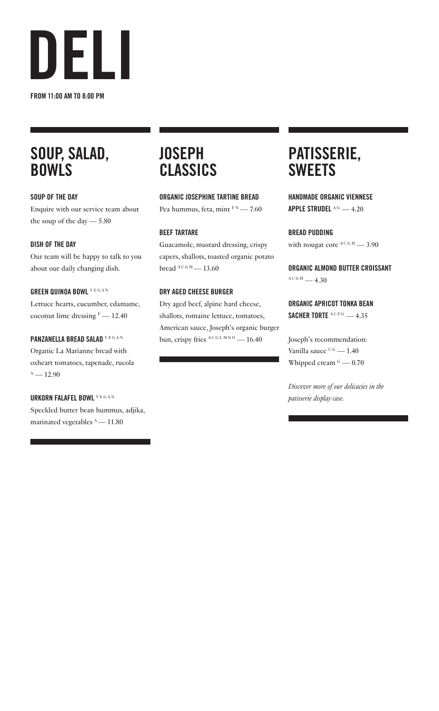

## SOUP, SALAD, BOWLS

#### SOUP OF THE DAY

Enquire with our service team about the soup of the day — 5.80

#### DISH OF THE DAY

Our team will be happy to talk to you about our daily changing dish.

#### GREEN QUINOA BOWL VEGAN

Lettuce hearts, cucumber, edamame, coconut lime dressing  $F = 12.40$ 

#### PANZANELLA BREAD SALAD VEGAN

Organic La Marianne bread with oxheart tomatoes, tapenade, rucola  $A - 12.90$ 

#### URKORN FALAFEL BOWL V E G A N

Speckled butter bean hummus, adjika, marinated vegetables  $^{\text{A}}$  — 11.80

### **JOSEPH** CLASSICS

ORGANIC JOSEPHINE TARTINE BREAD Pea hummus, feta, mint  $F_N$  - 7.60

#### BEEF TARTARE

Guacamole, mustard dressing, crispy capers, shallots, toasted organic potato bread  $A C G M$  — 13.60

#### DRY AGED CHEESE BURGER

Dry aged beef, alpine hard cheese, shallots, romaine lettuce, tomatoes, American sauce, Joseph's organic burger bun, crispy fries  $^{ACGLMNO}$  — 16.40

### PATISSERIE, **SWEETS**

HANDMADE ORGANIC VIENNESE APPLE STRUDEL  $^{AG}$  - 4.20

BREAD PUDDING with nougat core  $A$ C G H  $-$  3.90

ORGANIC ALMOND BUTTER CROISSANT  $A C G H = 4.30$ 

#### ORGANIC APRICOT TONKA BEAN SACHER TORTE  $^{ACFG}$  - 4.35

Joseph's recommendation: Vanilla sauce  $C<sup>G</sup>$  — 1.40 Whipped cream  $G = 0.70$ 

*Discover more of our delicacies in the patisserie display case.*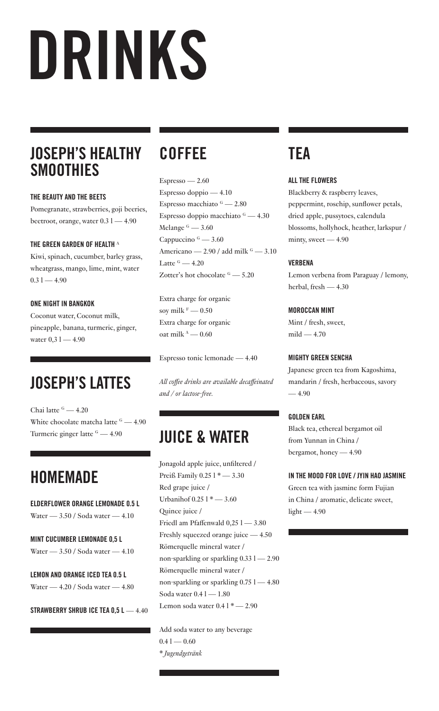## DRINKS

## JOSEPH'S HEALTHY **SMOOTHIES**

#### THE BEAUTY AND THE BEETS

Pomegranate, strawberries, goji beeries, beetroot, orange, water  $0.31 - 4.90$ 

### THE GREEN GARDEN OF HEALTH A

Kiwi, spinach, cucumber, barley grass, wheatgrass, mango, lime, mint, water  $0.31 - 4.90$ 

#### ONE NIGHT IN BANGKOK

Coconut water, Coconut milk, pineapple, banana, turmeric, ginger, water  $0.31 - 4.90$ 

## JOSEPH'S LATTES

Chai latte <sup>G</sup> - 4.20 White chocolate matcha latte  $\frac{6}{2}$  - 4.90 Turmeric ginger latte  $\epsilon_0 = 4.90$  JUICE & WATER

## **HOMEMADE**

ELDERFLOWER ORANGE LEMONADE 0.5 L Water — 3.50 / Soda water — 4.10

MINT CUCUMBER LEMONADE 0,5 L Water — 3.50 / Soda water — 4.10

LEMON AND ORANGE ICED TEA 0.5 L Water — 4.20 / Soda water — 4.80

STRAWBERRY SHRUB ICE TEA 0.5 L - 4.40

## COFFEE

 $Espresso - 2.60$ Espresso doppio — 4.10 Espresso macchiato  $\frac{6}{2}$  – 2.80 Espresso doppio macchiato  $\frac{6}{2}$  – 4.30 Melange  $G = 3.60$ Cappuccino  $G = 3.60$ Americano — 2.90 / add milk  $\frac{6}{2}$  — 3.10 Latte  $G = 4.20$ Zotter's hot chocolate  $G = 5.20$ 

Extra charge for organic soy milk  $^{\rm F}$  — 0.50 Extra charge for organic oat milk  $A - 0.60$ 

Espresso tonic lemonade — 4.40

*All coffee drinks are available decaffeinated and / or lactose-free.*

Jonagold apple juice, unfiltered / Preiß Family 0.25 l \* — 3.30 Red grape juice / Urbanihof 0.25 l \* — 3.60 Quince juice / Friedl am Pfaffenwald 0,25 l — 3.80 Freshly squeezed orange juice — 4.50 Römerquelle mineral water / non-sparkling or sparkling  $0.331 - 2.90$ Römerquelle mineral water / non-sparkling or sparkling 0.75 l — 4.80 Soda water 0.4  $1 - 1.80$ Lemon soda water  $0.41*-2.90$ 

Add soda water to any beverage  $0.41 - 0.60$ *\* Jugendgetränk*

## **TFA**

#### ALL THE FLOWERS

Blackberry & raspberry leaves, peppermint, rosehip, sunflower petals, dried apple, pussytoes, calendula blossoms, hollyhock, heather, larkspur / minty, sweet — 4.90

### VERBENA

Lemon verbena from Paraguay / lemony, herbal, fresh — 4.30

#### MOROCCAN MINT

Mint / fresh, sweet,  $mild - 4.70$ 

#### MIGHTY GREEN SENCHA

Japanese green tea from Kagoshima, mandarin / fresh, herbaceous, savory  $-4.90$ 

### GOLDEN EARL

Black tea, ethereal bergamot oil from Yunnan in China / bergamot, honey — 4.90

#### IN THE MOOD FOR LOVE / JYIN HAO JASMINE

Green tea with jasmine form Fujian in China / aromatic, delicate sweet,  $light - 4.90$